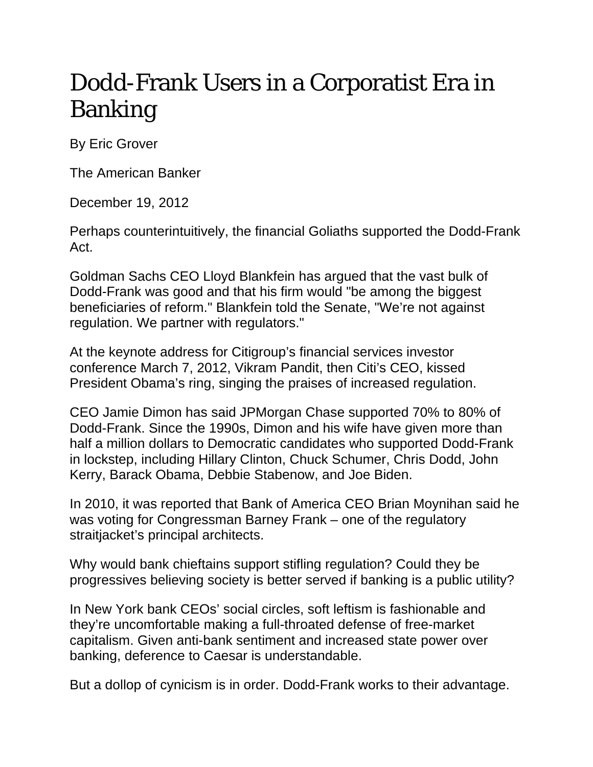## Dodd-Frank Users in a Corporatist Era in Banking

By Eric Grover

The American Banker

December 19, 2012

Perhaps counterintuitively, the financial Goliaths supported the Dodd-Frank Act.

Goldman Sachs CEO Lloyd Blankfein has argued that the vast bulk of Dodd-Frank was good and that his firm would "be among the biggest beneficiaries of reform." Blankfein told the Senate, "We're not against regulation. We partner with regulators."

At the keynote address for Citigroup's financial services investor conference March 7, 2012, Vikram Pandit, then Citi's CEO, kissed President Obama's ring, singing the praises of increased regulation.

CEO Jamie Dimon has said JPMorgan Chase supported 70% to 80% of Dodd-Frank. Since the 1990s, Dimon and his wife have given more than half a million dollars to Democratic candidates who supported Dodd-Frank in lockstep, including Hillary Clinton, Chuck Schumer, Chris Dodd, John Kerry, Barack Obama, Debbie Stabenow, and Joe Biden.

In 2010, it was reported that Bank of America CEO Brian Moynihan said he was voting for Congressman Barney Frank – one of the regulatory straitjacket's principal architects.

Why would bank chieftains support stifling regulation? Could they be progressives believing society is better served if banking is a public utility?

In New York bank CEOs' social circles, soft leftism is fashionable and they're uncomfortable making a full-throated defense of free-market capitalism. Given anti-bank sentiment and increased state power over banking, deference to Caesar is understandable.

But a dollop of cynicism is in order. Dodd-Frank works to their advantage.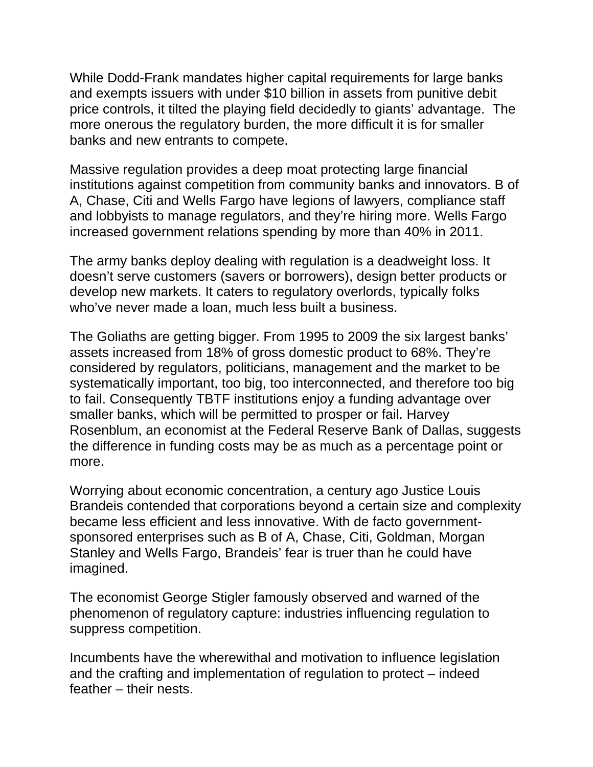While Dodd-Frank mandates higher capital requirements for large banks and exempts issuers with under \$10 billion in assets from punitive debit price controls, it tilted the playing field decidedly to giants' advantage. The more onerous the regulatory burden, the more difficult it is for smaller banks and new entrants to compete.

Massive regulation provides a deep moat protecting large financial institutions against competition from community banks and innovators. B of A, Chase, Citi and Wells Fargo have legions of lawyers, compliance staff and lobbyists to manage regulators, and they're hiring more. Wells Fargo increased government relations spending by more than 40% in 2011.

The army banks deploy dealing with regulation is a deadweight loss. It doesn't serve customers (savers or borrowers), design better products or develop new markets. It caters to regulatory overlords, typically folks who've never made a loan, much less built a business.

The Goliaths are getting bigger. From 1995 to 2009 the six largest banks' assets increased from 18% of gross domestic product to 68%. They're considered by regulators, politicians, management and the market to be systematically important, too big, too interconnected, and therefore too big to fail. Consequently TBTF institutions enjoy a funding advantage over smaller banks, which will be permitted to prosper or fail. Harvey Rosenblum, an economist at the Federal Reserve Bank of Dallas, suggests the difference in funding costs may be as much as a percentage point or more.

Worrying about economic concentration, a century ago Justice Louis Brandeis contended that corporations beyond a certain size and complexity became less efficient and less innovative. With de facto governmentsponsored enterprises such as B of A, Chase, Citi, Goldman, Morgan Stanley and Wells Fargo, Brandeis' fear is truer than he could have imagined.

The economist George Stigler famously observed and warned of the phenomenon of regulatory capture: industries influencing regulation to suppress competition.

Incumbents have the wherewithal and motivation to influence legislation and the crafting and implementation of regulation to protect – indeed feather – their nests.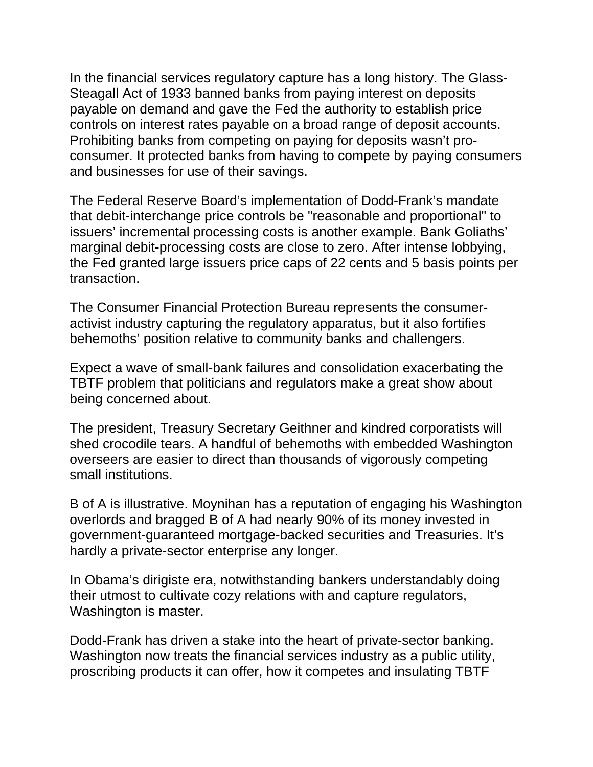In the financial services regulatory capture has a long history. The Glass-Steagall Act of 1933 banned banks from paying interest on deposits payable on demand and gave the Fed the authority to establish price controls on interest rates payable on a broad range of deposit accounts. Prohibiting banks from competing on paying for deposits wasn't proconsumer. It protected banks from having to compete by paying consumers and businesses for use of their savings.

The Federal Reserve Board's implementation of Dodd-Frank's mandate that debit-interchange price controls be "reasonable and proportional" to issuers' incremental processing costs is another example. Bank Goliaths' marginal debit-processing costs are close to zero. After intense lobbying, the Fed granted large issuers price caps of 22 cents and 5 basis points per transaction.

The Consumer Financial Protection Bureau represents the consumeractivist industry capturing the regulatory apparatus, but it also fortifies behemoths' position relative to community banks and challengers.

Expect a wave of small-bank failures and consolidation exacerbating the TBTF problem that politicians and regulators make a great show about being concerned about.

The president, Treasury Secretary Geithner and kindred corporatists will shed crocodile tears. A handful of behemoths with embedded Washington overseers are easier to direct than thousands of vigorously competing small institutions.

B of A is illustrative. Moynihan has a reputation of engaging his Washington overlords and bragged B of A had nearly 90% of its money invested in government-guaranteed mortgage-backed securities and Treasuries. It's hardly a private-sector enterprise any longer.

In Obama's dirigiste era, notwithstanding bankers understandably doing their utmost to cultivate cozy relations with and capture regulators, Washington is master.

Dodd-Frank has driven a stake into the heart of private-sector banking. Washington now treats the financial services industry as a public utility, proscribing products it can offer, how it competes and insulating TBTF